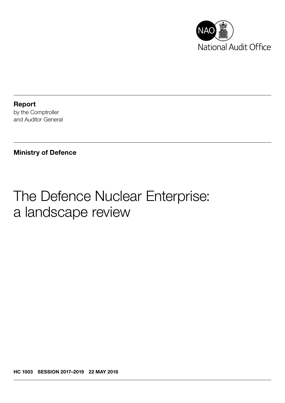

Report by the Comptroller and Auditor General

### Ministry of Defence

# The Defence Nuclear Enterprise: a landscape review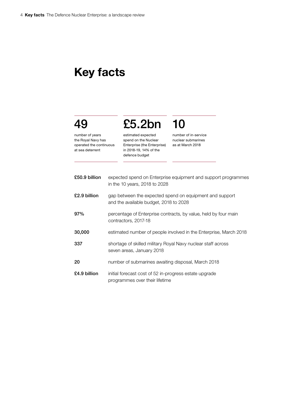## Key facts

# 49

number of years the Royal Navy has operated the continuous at sea deterrent

estimated expected spend on the Nuclear Enterprise (the Enterprise) in 2018-19, 14% of the defence budget

£5.2bn

number of in-service nuclear submarines as at March 2018

10

| £50.9 billion | expected spend on Enterprise equipment and support programmes<br>in the 10 years, 2018 to 2028    |
|---------------|---------------------------------------------------------------------------------------------------|
| £2.9 billion  | gap between the expected spend on equipment and support<br>and the available budget, 2018 to 2028 |
| 97%           | percentage of Enterprise contracts, by value, held by four main<br>contractors, 2017-18           |
| 30,000        | estimated number of people involved in the Enterprise, March 2018                                 |
| 337           | shortage of skilled military Royal Navy nuclear staff across<br>seven areas, January 2018         |
| 20            | number of submarines awaiting disposal, March 2018                                                |
| £4.9 billion  | initial forecast cost of 52 in-progress estate upgrade<br>programmes over their lifetime          |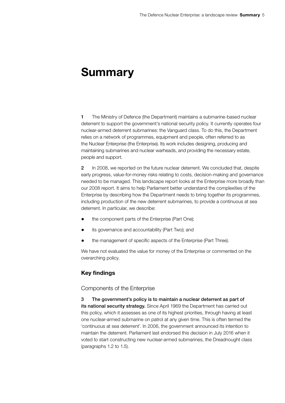## Summary

1 The Ministry of Defence (the Department) maintains a submarine-based nuclear deterrent to support the government's national security policy. It currently operates four nuclear-armed deterrent submarines: the Vanguard class. To do this, the Department relies on a network of programmes, equipment and people, often referred to as the Nuclear Enterprise (the Enterprise). Its work includes designing, producing and maintaining submarines and nuclear warheads, and providing the necessary estate, people and support.

2 In 2008, we reported on the future nuclear deterrent. We concluded that, despite early progress, value-for-money risks relating to costs, decision-making and governance needed to be managed. This landscape report looks at the Enterprise more broadly than our 2008 report. It aims to help Parliament better understand the complexities of the Enterprise by describing how the Department needs to bring together its programmes, including production of the new deterrent submarines, to provide a continuous at sea deterrent. In particular, we describe:

- the component parts of the Enterprise (Part One);
- its governance and accountability (Part Two); and
- the management of specific aspects of the Enterprise (Part Three).

We have not evaluated the value for money of the Enterprise or commented on the overarching policy.

### Key findings

#### Components of the Enterprise

3 The government's policy is to maintain a nuclear deterrent as part of its national security strategy. Since April 1969 the Department has carried out this policy, which it assesses as one of its highest priorities, through having at least one nuclear-armed submarine on patrol at any given time. This is often termed the 'continuous at sea deterrent'. In 2006, the government announced its intention to maintain the deterrent. Parliament last endorsed this decision in July 2016 when it voted to start constructing new nuclear-armed submarines, the Dreadnought class (paragraphs 1.2 to 1.5).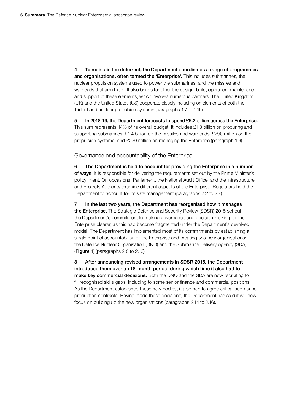4 To maintain the deterrent, the Department coordinates a range of programmes and organisations, often termed the 'Enterprise'. This includes submarines, the nuclear propulsion systems used to power the submarines, and the missiles and warheads that arm them. It also brings together the design, build, operation, maintenance and support of these elements, which involves numerous partners. The United Kingdom (UK) and the United States (US) cooperate closely including on elements of both the Trident and nuclear propulsion systems (paragraphs 1.7 to 1.19).

5 In 2018-19, the Department forecasts to spend £5.2 billion across the Enterprise. This sum represents 14% of its overall budget. It includes £1.8 billion on procuring and supporting submarines, £1.4 billion on the missiles and warheads, £790 million on the propulsion systems, and £220 million on managing the Enterprise (paragraph 1.6).

Governance and accountability of the Enterprise

6 The Department is held to account for providing the Enterprise in a number of ways. It is responsible for delivering the requirements set out by the Prime Minister's policy intent. On occasions, Parliament, the National Audit Office, and the Infrastructure and Projects Authority examine different aspects of the Enterprise. Regulators hold the Department to account for its safe management (paragraphs 2.2 to 2.7).

7 In the last two years, the Department has reorganised how it manages the Enterprise. The Strategic Defence and Security Review (SDSR) 2015 set out the Department's commitment to making governance and decision-making for the Enterprise clearer, as this had become fragmented under the Department's devolved model. The Department has implemented most of its commitments by establishing a single point of accountability for the Enterprise and creating two new organisations: the Defence Nuclear Organisation (DNO) and the Submarine Delivery Agency (SDA) (Figure 1) (paragraphs 2.8 to 2.13).

8 After announcing revised arrangements in SDSR 2015, the Department introduced them over an 18-month period, during which time it also had to make key commercial decisions. Both the DNO and the SDA are now recruiting to fill recognised skills gaps, including to some senior finance and commercial positions. As the Department established these new bodies, it also had to agree critical submarine production contracts. Having made these decisions, the Department has said it will now focus on building up the new organisations (paragraphs 2.14 to 2.16).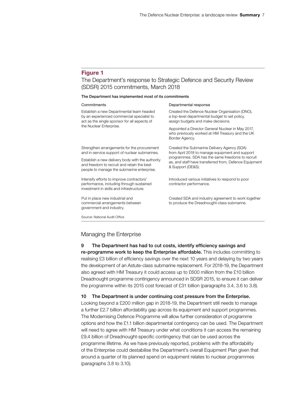#### Figure 1

#### The Department's response to Strategic Defence and Security Review (SDSR) 2015 commitments, March 2018

#### The Department has implemented most of its commitments

#### Commitments **Commitments** Departmental response

| Establish a new Departmental team headed<br>by an experienced commercial specialist to<br>act as the single sponsor for all aspects of       | Created the Defence Nuclear Organisation (DNO),<br>a top-level departmental budget to set policy,<br>assign budgets and make decisions.                                                                                           |
|----------------------------------------------------------------------------------------------------------------------------------------------|-----------------------------------------------------------------------------------------------------------------------------------------------------------------------------------------------------------------------------------|
| the Nuclear Enterprise.                                                                                                                      | Appointed a Director General Nuclear in May 2017,<br>who previously worked at HM Treasury and the UK<br>Border Agency.                                                                                                            |
| Strengthen arrangements for the procurement<br>and in-service support of nuclear submarines.                                                 | Created the Submarine Delivery Agency (SDA)<br>from April 2018 to manage equipment and support<br>programmes. SDA has the same freedoms to recruit<br>as, and staff have transferred from, Defence Equipment<br>& Support (DE&S). |
| Establish a new delivery body with the authority<br>and freedom to recruit and retain the best<br>people to manage the submarine enterprise. |                                                                                                                                                                                                                                   |
| Intensify efforts to improve contractors'<br>performance, including through sustained<br>investment in skills and infrastructure.            | Introduced various initiatives to respond to poor<br>contractor performance.                                                                                                                                                      |
| Put in place new industrial and<br>commercial arrangements between<br>government and industry.                                               | Created SDA and industry agreement to work together<br>to produce the Dreadnought-class submarine.                                                                                                                                |
|                                                                                                                                              |                                                                                                                                                                                                                                   |

Source: National Audit Office

#### Managing the Enterprise

### 9 The Department has had to cut costs, identify efficiency savings and re-programme work to keep the Enterprise affordable. This includes committing to realising £3 billion of efficiency savings over the next 10 years and delaying by two years the development of an Astute-class submarine replacement. For 2018-19, the Department also agreed with HM Treasury it could access up to £600 million from the £10 billion Dreadnought programme contingency announced in SDSR 2015, to ensure it can deliver the programme within its 2015 cost forecast of £31 billion (paragraphs 3.4, 3.6 to 3.8).

### 10 The Department is under continuing cost pressure from the Enterprise.

Looking beyond a £200 million gap in 2018-19, the Department still needs to manage a further £2.7 billion affordability gap across its equipment and support programmes. The Modernising Defence Programme will allow further consideration of programme options and how the £1.1 billion departmental contingency can be used. The Department will need to agree with HM Treasury under what conditions it can access the remaining £9.4 billion of Dreadnought-specific contingency that can be used across the programme lifetime. As we have previously reported, problems with the affordability of the Enterprise could destabilise the Department's overall Equipment Plan given that around a quarter of its planned spend on equipment relates to nuclear programmes (paragraphs 3.8 to 3.10).